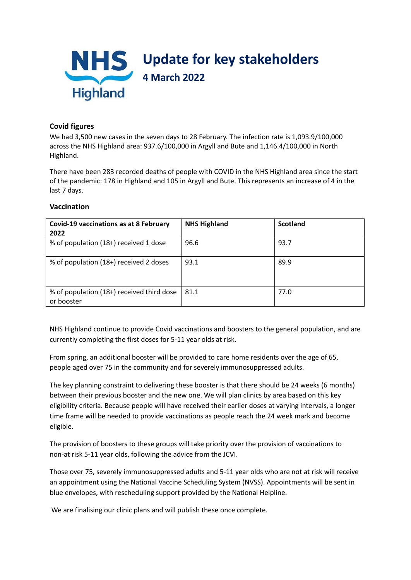

# **Covid figures**

We had 3,500 new cases in the seven days to 28 February. The infection rate is 1,093.9/100,000 across the NHS Highland area: 937.6/100,000 in Argyll and Bute and 1,146.4/100,000 in North Highland.

There have been 283 recorded deaths of people with COVID in the NHS Highland area since the start of the pandemic: 178 in Highland and 105 in Argyll and Bute. This represents an increase of 4 in the last 7 days.

## **Vaccination**

| <b>Covid-19 vaccinations as at 8 February</b><br>2022   | <b>NHS Highland</b> | <b>Scotland</b> |
|---------------------------------------------------------|---------------------|-----------------|
| % of population (18+) received 1 dose                   | 96.6                | 93.7            |
| % of population (18+) received 2 doses                  | 93.1                | 89.9            |
| % of population (18+) received third dose<br>or booster | 81.1                | 77.0            |

NHS Highland continue to provide Covid vaccinations and boosters to the general population, and are currently completing the first doses for 5-11 year olds at risk.

From spring, an additional booster will be provided to care home residents over the age of 65, people aged over 75 in the community and for severely immunosuppressed adults.

The key planning constraint to delivering these booster is that there should be 24 weeks (6 months) between their previous booster and the new one. We will plan clinics by area based on this key eligibility criteria. Because people will have received their earlier doses at varying intervals, a longer time frame will be needed to provide vaccinations as people reach the 24 week mark and become eligible.

The provision of boosters to these groups will take priority over the provision of vaccinations to non-at risk 5-11 year olds, following the advice from the JCVI.

Those over 75, severely immunosuppressed adults and 5-11 year olds who are not at risk will receive an appointment using the National Vaccine Scheduling System (NVSS). Appointments will be sent in blue envelopes, with rescheduling support provided by the National Helpline.

We are finalising our clinic plans and will publish these once complete.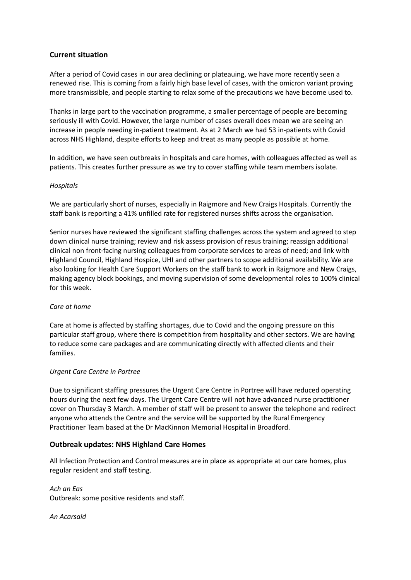## **Current situation**

After a period of Covid cases in our area declining or plateauing, we have more recently seen a renewed rise. This is coming from a fairly high base level of cases, with the omicron variant proving more transmissible, and people starting to relax some of the precautions we have become used to.

Thanks in large part to the vaccination programme, a smaller percentage of people are becoming seriously ill with Covid. However, the large number of cases overall does mean we are seeing an increase in people needing in-patient treatment. As at 2 March we had 53 in-patients with Covid across NHS Highland, despite efforts to keep and treat as many people as possible at home.

In addition, we have seen outbreaks in hospitals and care homes, with colleagues affected as well as patients. This creates further pressure as we try to cover staffing while team members isolate.

### *Hospitals*

We are particularly short of nurses, especially in Raigmore and New Craigs Hospitals. Currently the staff bank is reporting a 41% unfilled rate for registered nurses shifts across the organisation.

Senior nurses have reviewed the significant staffing challenges across the system and agreed to step down clinical nurse training; review and risk assess provision of resus training; reassign additional clinical non front-facing nursing colleagues from corporate services to areas of need; and link with Highland Council, Highland Hospice, UHI and other partners to scope additional availability. We are also looking for Health Care Support Workers on the staff bank to work in Raigmore and New Craigs, making agency block bookings, and moving supervision of some developmental roles to 100% clinical for this week.

### *Care at home*

Care at home is affected by staffing shortages, due to Covid and the ongoing pressure on this particular staff group, where there is competition from hospitality and other sectors. We are having to reduce some care packages and are communicating directly with affected clients and their families.

#### *Urgent Care Centre in Portree*

Due to significant staffing pressures the Urgent Care Centre in Portree will have reduced operating hours during the next few days. The Urgent Care Centre will not have advanced nurse practitioner cover on Thursday 3 March. A member of staff will be present to answer the telephone and redirect anyone who attends the Centre and the service will be supported by the Rural Emergency Practitioner Team based at the Dr MacKinnon Memorial Hospital in Broadford.

### **Outbreak updates: NHS Highland Care Homes**

All Infection Protection and Control measures are in place as appropriate at our care homes, plus regular resident and staff testing.

*Ach an Eas* Outbreak: some positive residents and staff.

*An Acarsaid*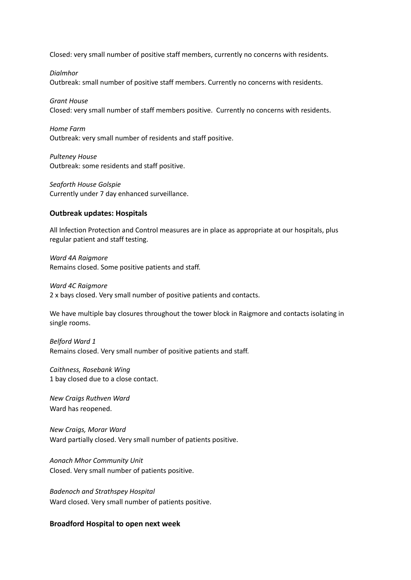Closed: very small number of positive staff members, currently no concerns with residents.

*Dialmhor* Outbreak: small number of positive staff members. Currently no concerns with residents.

*Grant House* Closed: very small number of staff members positive. Currently no concerns with residents.

*Home Farm* Outbreak: very small number of residents and staff positive.

*Pulteney House* Outbreak: some residents and staff positive.

*Seaforth House Golspie* Currently under 7 day enhanced surveillance.

#### **Outbreak updates: Hospitals**

All Infection Protection and Control measures are in place as appropriate at our hospitals, plus regular patient and staff testing.

*Ward 4A Raigmore* Remains closed. Some positive patients and staff.

*Ward 4C Raigmore* 2 x bays closed. Very small number of positive patients and contacts.

We have multiple bay closures throughout the tower block in Raigmore and contacts isolating in single rooms.

*Belford Ward 1* Remains closed. Very small number of positive patients and staff.

*Caithness, Rosebank Wing* 1 bay closed due to a close contact.

*New Craigs Ruthven Ward* Ward has reopened.

*New Craigs, Morar Ward* Ward partially closed. Very small number of patients positive.

*Aonach Mhor Community Unit* Closed. Very small number of patients positive.

*Badenoch and Strathspey Hospital* Ward closed. Very small number of patients positive.

## **Broadford Hospital to open next week**